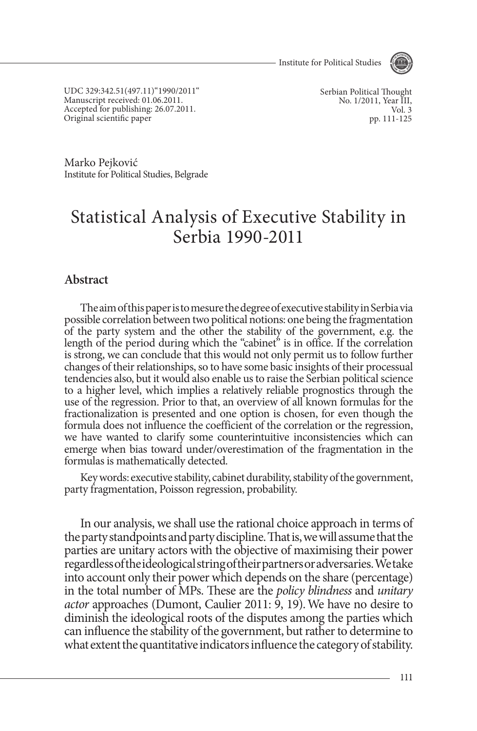Institute for Political Studies



UDC 329:342.51(497.11)"1990/2011" Manuscript received: 01.06.2011. Accepted for publishing: 26.07.2011. Original scientific paper

Serbian Political Thought No. 1/2011, Year III, Vol. 3 pp. 111-125

Marko Pejković Institute for Political Studies, Belgrade

# Statistical Analysis of Executive Stability in Serbia 1990-2011

# **Abstract**

The aim of this paper is to mesure the degree of executive stability in Serbia via possible correlation between two political notions: one being the fragmentation of the party system and the other the stability of the government, e.g. the length of the period during which the "cabinet" is in office. If the correlation is strong, we can conclude that this would not only permit us to follow further changes of their relationships, so to have some basic insights of their processual tendencies also, but it would also enable us to raise the Serbian political science to a higher level, which implies a relatively reliable prognostics through the use of the regression. Prior to that, an overview of all known formulas for the fractionalization is presented and one option is chosen, for even though the formula does not influence the coefficient of the correlation or the regression, we have wanted to clarify some counterintuitive inconsistencies which can emerge when bias toward under/overestimation of the fragmentation in the formulas is mathematically detected.

Key words: executive stability, cabinet durability, stability of the government, party fragmentation, Poisson regression, probability.

In our analysis, we shall use the rational choice approach in terms of the party standpoints and party discipline. That is, we will assume that the parties are unitary actors with the objective of maximising their power regardless of the ideological string of their partners or adversaries. We take into account only their power which depends on the share (percentage) in the total number of MPs. These are the *policy blindness* and *unitary actor* approaches (Dumont, Caulier 2011: 9, 19). We have no desire to diminish the ideological roots of the disputes among the parties which can influence the stability of the government, but rather to determine to what extent the quantitative indicators influence the category of stability.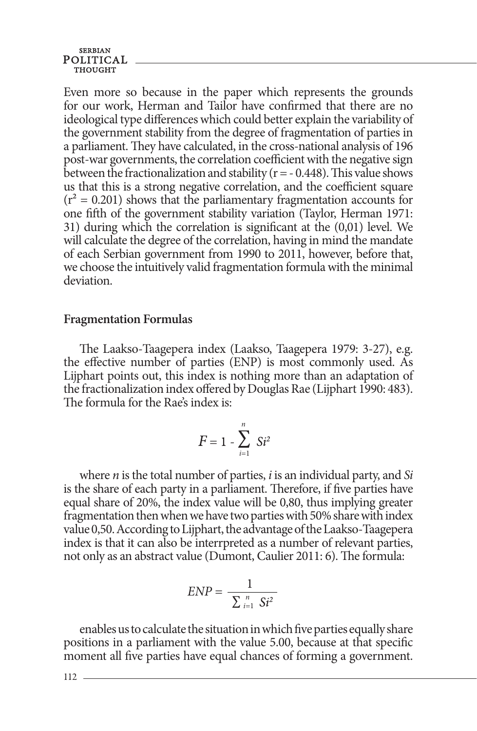**SERBIAN** POLITICAL

Even more so because in the paper which represents the grounds for our work, Herman and Tailor have confirmed that there are no ideological type differences which could better explain the variability of the government stability from the degree of fragmentation of parties in a parliament. They have calculated, in the cross-national analysis of 196 post-war governments, the correlation coefficient with the negative sign between the fractionalization and stability ( $r = -0.448$ ). This value shows us that this is a strong negative correlation, and the coefficient square  $(r^2 = 0.201)$  shows that the parliamentary fragmentation accounts for one fifth of the government stability variation (Taylor, Herman 1971: 31) during which the correlation is significant at the (0,01) level. We will calculate the degree of the correlation, having in mind the mandate of each Serbian government from 1990 to 2011, however, before that, we choose the intuitively valid fragmentation formula with the minimal deviation.

### **Fragmentation Formulas**

The Laakso-Taagepera index (Laakso, Taagepera 1979: 3-27), e.g. the effective number of parties (ENP) is most commonly used. As Lijphart points out, this index is nothing more than an adaptation of the fractionalization index offered by Douglas Rae (Lijphart 1990: 483). The formula for the Rae's index is:

$$
F=1-\sum_{i=1}^n\;Si^2
$$

where *n* is the total number of parties, *i* is an individual party, and *Si*  is the share of each party in a parliament. Therefore, if five parties have equal share of 20%, the index value will be 0,80, thus implying greater fragmentation then when we have two parties with 50% share with index value 0,50. According to Lijphart, the advantage of the Laakso-Taagepera index is that it can also be interrpreted as a number of relevant parties, not only as an abstract value (Dumont, Caulier 2011: 6). The formula:

$$
ENP = \frac{1}{\sum_{i=1}^{n} St^2}
$$

enables us to calculate the situation in which five parties equally share positions in a parliament with the value 5.00, because at that specific moment all five parties have equal chances of forming a government.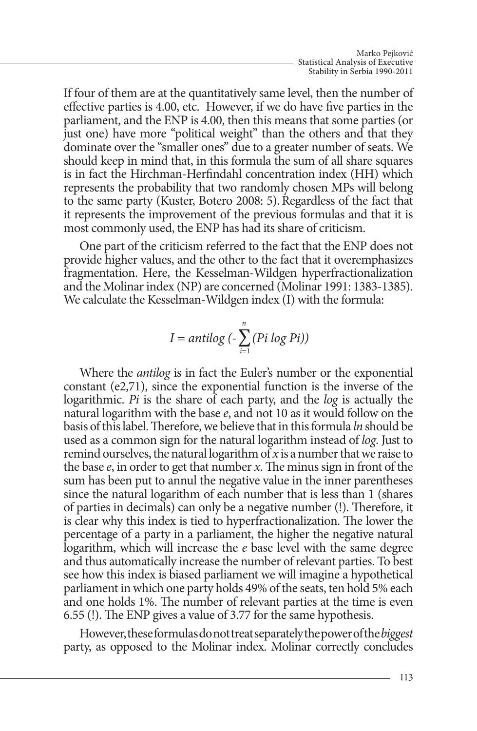If four of them are at the quantitatively same level, then the number of effective parties is 4.00, etc. However, if we do have five parties in the parliament, and the ENP is 4.00, then this means that some parties (or just one) have more "political weight" than the others and that they dominate over the "smaller ones" due to a greater number of seats. We should keep in mind that, in this formula the sum of all share squares is in fact the Hirchman-Herfindahl concentration index (HH) which represents the probability that two randomly chosen MPs will belong to the same party (Kuster, Botero 2008: 5).Regardless of the fact that it represents the improvement of the previous formulas and that it is most commonly used, the ENP has had its share of criticism.

One part of the criticism referred to the fact that the ENP does not provide higher values, and the other to the fact that it overemphasizes fragmentation. Here, the Kesselman-Wildgen hyperfractionalization and the Molinar index (NP) are concerned (Molinar 1991: 1383-1385). We calculate the Kesselman-Wildgen index (I) with the formula:

$$
I = antilog\left(-\sum_{i=1}^{n} (Pi\ log\ Pi)\right)
$$

Where the *antilog* is in fact the Euler's number or the exponential constant (е2,71), since the exponential function is the inverse of the logarithmic. *Pi* is the share of each party, and the *log* is actually the natural logarithm with the base *e*, and not 10 as it would follow on the basis of this label. Therefore, we believe that in this formula *ln* should be used as a common sign for the natural logarithm instead of *log*. Just to remind ourselves, the natural logarithm of *x* is a number that we raise to the base *e*, in order to get that number *x*. The minus sign in front of the sum has been put to annul the negative value in the inner parentheses since the natural logarithm of each number that is less than 1 (shares of parties in decimals) can only be a negative number (!). Therefore, it is clear why this index is tied to hyperfractionalization. The lower the percentage of a party in a parliament, the higher the negative natural logarithm, which will increase the *e* base level with the same degree and thus automatically increase the number of relevant parties. To best see how this index is biased parliament we will imagine a hypothetical parliament in which one party holds 49% of the seats, ten hold 5% each and one holds 1%. The number of relevant parties at the time is even 6.55 (!). The ENP gives a value of 3.77 for the same hypothesis.

However, these formulas do not treat separately the power of the *biggest* party, as opposed to the Molinar index. Molinar correctly concludes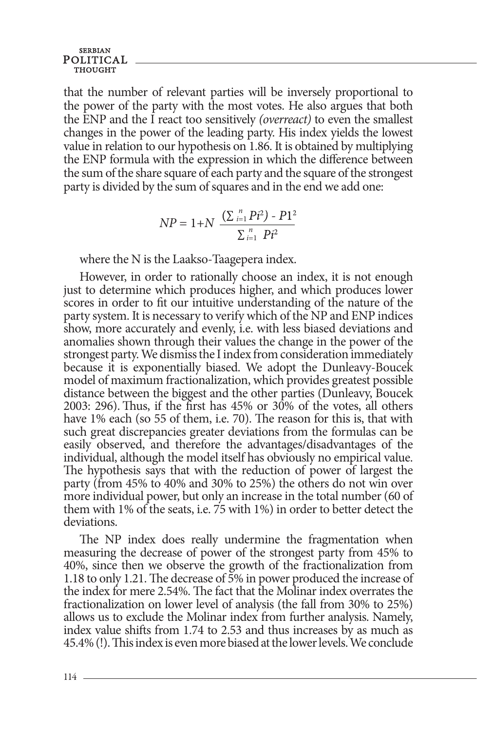that the number of relevant parties will be inversely proportional to the power of the party with the most votes. He also argues that both the ENP and the I react too sensitively *(overreact)* to even the smallest changes in the power of the leading party. His index yields the lowest value in relation to our hypothesis on 1.86. It is obtained by multiplying the ENP formula with the expression in which the difference between the sum of the share square of each party and the square of the strongest party is divided by the sum of squares and in the end we add one:

$$
NP = 1 + N \frac{(\sum_{i=1}^{n} Pi^{2}) - P1^{2}}{\sum_{i=1}^{n} Pi^{2}}
$$

where the N is the Laakso-Taagepera index.

However, in order to rationally choose an index, it is not enough just to determine which produces higher, and which produces lower scores in order to fit our intuitive understanding of the nature of the party system. It is necessary to verify which of the NP and ENP indices show, more accurately and evenly, i.e. with less biased deviations and anomalies shown through their values the change in the power of the strongest party. We dismiss the I index from consideration immediately because it is exponentially biased. We adopt the Dunleavy-Boucek model of maximum fractionalization, which provides greatest possible distance between the biggest and the other parties (Dunleavy, Boucek 2003: 296). Thus, if the first has  $45\%$  or  $30\%$  of the votes, all others have 1% each (so 55 of them, i.e. 70). The reason for this is, that with such great discrepancies greater deviations from the formulas can be easily observed, and therefore the advantages/disadvantages of the individual, although the model itself has obviously no empirical value. The hypothesis says that with the reduction of power of largest the party (from 45% to 40% and 30% to 25%) the others do not win over more individual power, but only an increase in the total number (60 of them with 1% of the seats, i.e. 75 with 1%) in order to better detect the deviations.

The NP index does really undermine the fragmentation when measuring the decrease of power of the strongest party from 45% to 40%, since then we observe the growth of the fractionalization from 1.18 to only 1.21. The decrease of 5% in power produced the increase of the index for mere 2.54%. The fact that the Molinar index overrates the fractionalization on lower level of analysis (the fall from 30% to 25%) allows us to exclude the Molinar index from further analysis. Namely, index value shifts from 1.74 to 2.53 and thus increases by as much as 45.4% (!). This index is even more biased at the lower levels. We conclude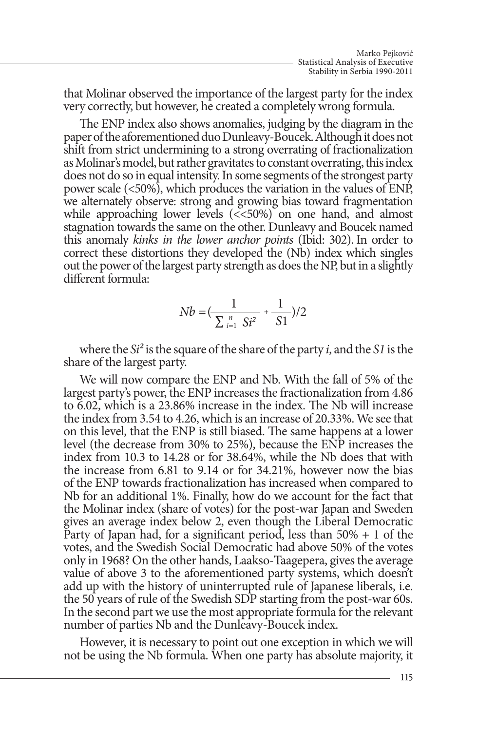that Molinar observed the importance of the largest party for the index very correctly, but however, he created a completely wrong formula.

The ENP index also shows anomalies, judging by the diagram in the paper of the aforementioned duo Dunleavy-Boucek. Although it does not shift from strict undermining to a strong overrating of fractionalization as Molinar's model, but rather gravitates to constant overrating, this index does not do so in equal intensity. In some segments of the strongest party power scale (<50%), which produces the variation in the values of ENP, we alternately observe: strong and growing bias toward fragmentation while approaching lower levels (<<50%) on one hand, and almost stagnation towards the same on the other. Dunleavy and Boucek named this anomaly *kinks in the lower anchor points* (Ibid: 302). In order to correct these distortions they developed the (Nb) index which singles out the power of the largest party strength as does the NP, but in a slightly different formula:

$$
Nb = \left(\frac{1}{\sum_{i=1}^{n} S_i^2} + \frac{1}{S1}\right)/2
$$

where the *Si²* is the square of the share of the party *i*, and the *S1* is the share of the largest party.

We will now compare the ENP and Nb. With the fall of 5% of the largest party's power, the ENP increases the fractionalization from 4.86 to 6.02, which is a 23.86% increase in the index. The Nb will increase the index from 3.54 to 4.26, which is an increase of 20.33%. We see that on this level, that the ENP is still biased. The same happens at a lower level (the decrease from 30% to 25%), because the ENP increases the index from 10.3 to 14.28 or for 38.64%, while the Nb does that with the increase from 6.81 to 9.14 or for 34.21%, however now the bias of the ENP towards fractionalization has increased when compared to Nb for an additional 1%. Finally, how do we account for the fact that the Molinar index (share of votes) for the post-war Japan and Sweden gives an average index below 2, even though the Liberal Democratic Party of Japan had, for a significant period, less than  $50\% + 1$  of the votes, and the Swedish Social Democratic had above 50% of the votes only in 1968? On the other hands, Laakso-Taagepera, gives the average value of above 3 to the aforementioned party systems, which doesn't add up with the history of uninterrupted rule of Japanese liberals, i.e. the 50 years of rule of the Swedish SDP starting from the post-war 60s. In the second part we use the most appropriate formula for the relevant number of parties Nb and the Dunleavy-Boucek index.

However, it is necessary to point out one exception in which we will not be using the Nb formula. When one party has absolute majority, it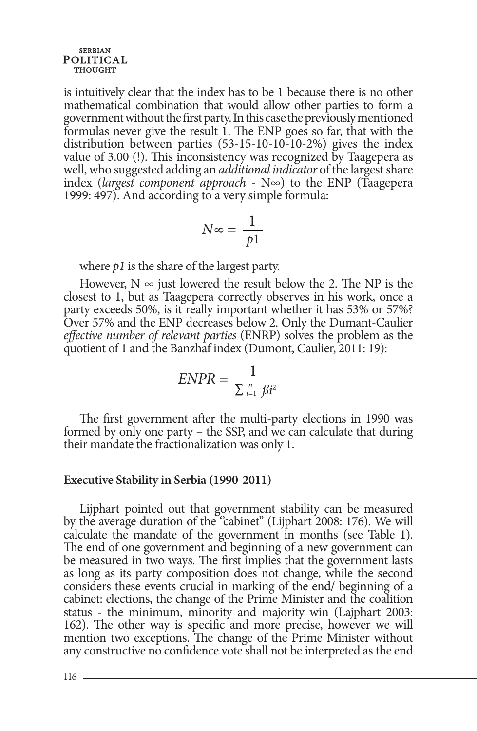is intuitively clear that the index has to be 1 because there is no other mathematical combination that would allow other parties to form a government without the first party. In this case the previously mentioned formulas never give the result 1. The ENP goes so far, that with the distribution between parties (53-15-10-10-10-2%) gives the index value of 3.00 (!). This inconsistency was recognized by Taagepera as well, who suggested adding an *additional indicator* of the largest share index (*largest component approach* - N∞) to the ENP (Taagepera 1999: 497). And according to a very simple formula:

$$
N \infty = \frac{1}{p!}
$$

where *p1* is the share of the largest party.

However,  $N \infty$  just lowered the result below the 2. The NP is the closest to 1, but as Taagepera correctly observes in his work, once a party exceeds 50%, is it really important whether it has 53% or 57%? Over 57% and the ENP decreases below 2. Only the Dumant-Caulier *effective number of relevant parties* (ENRP) solves the problem as the quotient of 1 and the Banzhaf index (Dumont, Caulier, 2011: 19):

$$
ENPR = \frac{1}{\sum_{i=1}^{n} \beta i^2}
$$

The first government after the multi-party elections in 1990 was formed by only one party – the SSP, and we can calculate that during their mandate the fractionalization was only 1.

### **Executive Stability in Serbia (1990-2011)**

Lijphart pointed out that government stability can be measured by the average duration of the "cabinet" (Lijphart 2008: 176). We will calculate the mandate of the government in months (see Table 1). The end of one government and beginning of a new government can be measured in two ways. The first implies that the government lasts as long as its party composition does not change, while the second considers these events crucial in marking of the end/ beginning of a cabinet: elections, the change of the Prime Minister and the coalition status - the minimum, minority and majority win (Lajphart 2003: 162). The other way is specific and more precise, however we will mention two exceptions. The change of the Prime Minister without any constructive no confidence vote shall not be interpreted as the end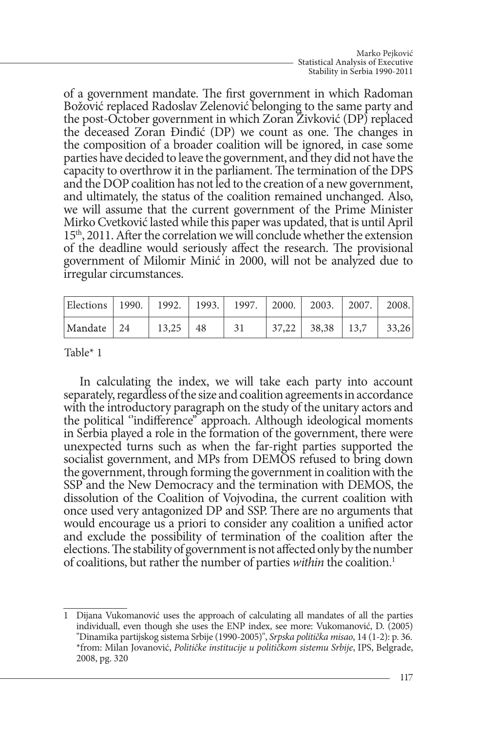of a government mandate. The first government in which Radoman Božović replaced Radoslav Zelenović belonging to the same party and the post-October government in which Zoran Živković (DP) replaced the deceased Zoran Đinđić (DP) we count as one. The changes in the composition of a broader coalition will be ignored, in case some parties have decided to leave the government, and they did not have the capacity to overthrow it in the parliament. The termination of the DPS and the DOP coalition has not led to the creation of a new government, and ultimately, the status of the coalition remained unchanged. Also, we will assume that the current government of the Prime Minister Mirko Cvetković lasted while this paper was updated, that is until April 15th, 2011. After the correlation we will conclude whether the extension of the deadline would seriously affect the research. The provisional government of Milomir Minić in 2000, will not be analyzed due to irregular circumstances.

| Elections   1990.   1992.   1993.   1997.   2000.   2003.   2007.   2008. |                |    |                    |       |
|---------------------------------------------------------------------------|----------------|----|--------------------|-------|
| Mandate 24                                                                | $13.25 \pm 48$ | 31 | $37,22$ 38,38 13,7 | 33,26 |

Table\* 1

In calculating the index, we will take each party into account separately, regardless of the size and coalition agreements in accordance with the introductory paragraph on the study of the unitary actors and the political ''indifference'' approach. Although ideological moments in Serbia played a role in the formation of the government, there were unexpected turns such as when the far-right parties supported the socialist government, and MPs from DEMOS refused to bring down the government, through forming the government in coalition with the SSP and the New Democracy and the termination with DEMOS, the dissolution of the Coalition of Vojvodina, the current coalition with once used very antagonized DP and SSP. There are no arguments that would encourage us a priori to consider any coalition a unified actor and exclude the possibility of termination of the coalition after the elections. The stability of government is not affected only by the number of coalitions, but rather the number of parties *within* the coalition.1

<sup>1</sup> Dijana Vukomanović uses the approach of calculating all mandates of all the parties individuall, even though she uses the ENP index, see more: Vukomanović, D. (2005) ''Dinamika partijskog sistema Srbije (1990-2005)'', *Srpska politička misao*, 14 (1-2): p. 36. \*from: Milan Jovanović, *Političke institucije u političkom sistemu Srbije*, IPS, Belgrade, 2008, pg. 320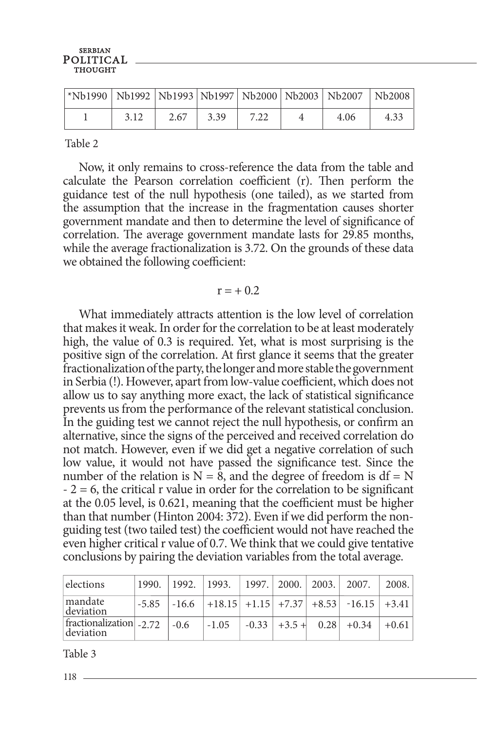| *Nb1990   Nb1992   Nb1993   Nb1997   Nb2000   Nb2003   Nb2007   Nb2008 |      |      |      |      |      |      |
|------------------------------------------------------------------------|------|------|------|------|------|------|
|                                                                        | 3.12 | 2.67 | 3.39 | 7.22 | 4.06 | 4.33 |

Table 2

Now, it only remains to cross-reference the data from the table and calculate the Pearson correlation coefficient (r). Then perform the guidance test of the null hypothesis (one tailed), as we started from the assumption that the increase in the fragmentation causes shorter government mandate and then to determine the level of significance of correlation. The average government mandate lasts for 29.85 months, while the average fractionalization is 3.72. On the grounds of these data we obtained the following coefficient:

### $r = +0.2$

What immediately attracts attention is the low level of correlation that makes it weak. In order for the correlation to be at least moderately high, the value of 0.3 is required. Yet, what is most surprising is the positive sign of the correlation. At first glance it seems that the greater fractionalization of the party, the longer and more stable the government in Serbia (!). However, apart from low-value coefficient, which does not allow us to say anything more exact, the lack of statistical significance prevents us from the performance of the relevant statistical conclusion. In the guiding test we cannot reject the null hypothesis, or confirm an alternative, since the signs of the perceived and received correlation do not match. However, even if we did get a negative correlation of such low value, it would not have passed the significance test. Since the number of the relation is  $N = 8$ , and the degree of freedom is  $df = N$  $- 2 = 6$ , the critical r value in order for the correlation to be significant at the 0.05 level, is 0.621, meaning that the coefficient must be higher than that number (Hinton 2004: 372). Even if we did perform the nonguiding test (two tailed test) the coefficient would not have reached the even higher critical r value of 0.7. We think that we could give tentative conclusions by pairing the deviation variables from the total average.

| elections                                         | 1990.   | 1992.  | 1993.   1997.   2000.   2003.   2007. |  |                                                             | 2008.   |
|---------------------------------------------------|---------|--------|---------------------------------------|--|-------------------------------------------------------------|---------|
| mandate<br>deviation                              | $-5.85$ |        |                                       |  | $\vert$ -16.6 $\vert$ +18.15 +1.15 +7.37 +8.53 -16.15 +3.41 |         |
| $ \text{fractionalization} _{-2.72}$<br>deviation |         | $-0.6$ | $-1.05$                               |  | $-0.33$ + $+3.5$ + 0.28 + 0.34                              | $+0.61$ |

Table 3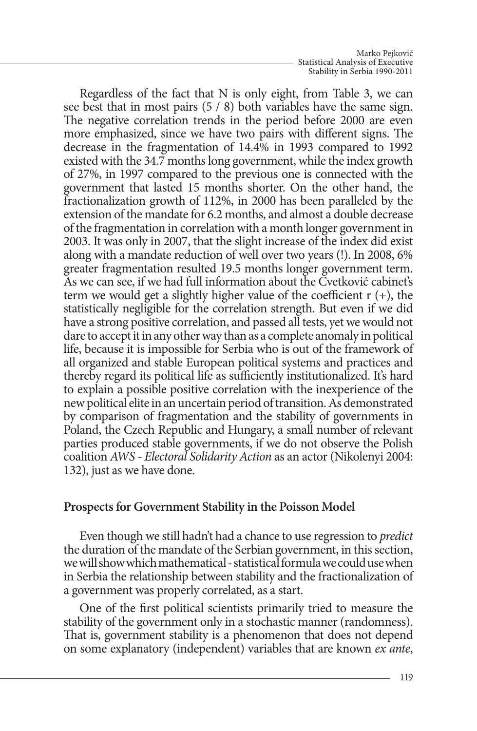Regardless of the fact that N is only eight, from Table 3, we can see best that in most pairs (5 / 8) both variables have the same sign. The negative correlation trends in the period before 2000 are even more emphasized, since we have two pairs with different signs. The decrease in the fragmentation of 14.4% in 1993 compared to 1992 existed with the 34.7 months long government, while the index growth of 27%, in 1997 compared to the previous one is connected with the government that lasted 15 months shorter. On the other hand, the fractionalization growth of 112%, in 2000 has been paralleled by the extension of the mandate for 6.2 months, and almost a double decrease of the fragmentation in correlation with a month longer government in 2003. It was only in 2007, that the slight increase of the index did exist along with a mandate reduction of well over two years (!). In 2008, 6% greater fragmentation resulted 19.5 months longer government term. As we can see, if we had full information about the Cvetković cabinet's term we would get a slightly higher value of the coefficient  $r (+)$ , the statistically negligible for the correlation strength. But even if we did have a strong positive correlation, and passed all tests, yet we would not dare to accept it in any other way than as a complete anomaly in political life, because it is impossible for Serbia who is out of the framework of all organized and stable European political systems and practices and thereby regard its political life as sufficiently institutionalized. It's hard to explain a possible positive correlation with the inexperience of the new political elite in an uncertain period of transition. As demonstrated by comparison of fragmentation and the stability of governments in Poland, the Czech Republic and Hungary, a small number of relevant parties produced stable governments, if we do not observe the Polish coalition *AWS - Electoral Solidarity Action* as an actor (Nikolenyi 2004: 132), just as we have done.

# **Prospects for Government Stability in the Poisson Model**

Even though we still hadn't had a chance to use regression to *predict*  the duration of the mandate of the Serbian government, in this section, we will show which mathematical - statistical formula we could use when in Serbia the relationship between stability and the fractionalization of a government was properly correlated, as a start.

One of the first political scientists primarily tried to measure the stability of the government only in a stochastic manner (randomness). That is, government stability is a phenomenon that does not depend on some explanatory (independent) variables that are known *ex ante*,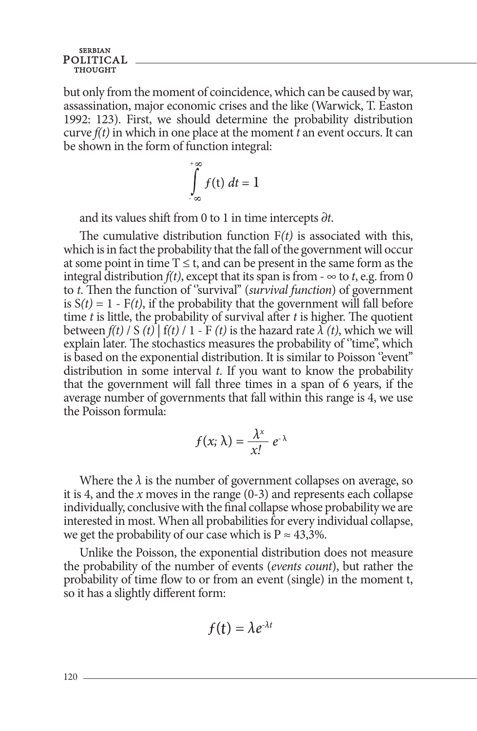but only from the moment of coincidence, which can be caused by war, assassination, major economic crises and the like (Warwick, T. Easton 1992: 123). First, we should determine the probability distribution curve *f(t)* in which in one place at the moment *t* an event occurs. It can be shown in the form of function integral:

$$
\int_{-\infty}^{+\infty} f(t) \ dt = 1
$$

and its values shift from 0 to 1 in time intercepts *∂t*.

The cumulative distribution function F*(t)* is associated with this, which is in fact the probability that the fall of the government will occur at some point in time  $T \le t$ , and can be present in the same form as the integral distribution  $f(t)$ , except that its span is from  $-\infty$  to *t*, e.g. from 0 to *t*. Then the function of ''survival'' (*survival function*) of government is  $S(t) = 1 - F(t)$ , if the probability that the government will fall before time *t* is little, the probability of survival after *t* is higher. The quotient between  $f(t)$  / S  $(t)$   $| f(t)$  / 1 - F  $(t)$  is the hazard rate  $\lambda(t)$ , which we will explain later. The stochastics measures the probability of "time", which is based on the exponential distribution. It is similar to Poisson "event" distribution in some interval *t*. If you want to know the probability that the government will fall three times in a span of 6 years, if the average number of governments that fall within this range is 4, we use the Poisson formula:

$$
f(x; \lambda) = \frac{\lambda^x}{x!} e^{-\lambda}
$$

Where the  $\lambda$  is the number of government collapses on average, so it is 4, and the *x* moves in the range (0-3) and represents each collapse individually, conclusive with the final collapse whose probability we are interested in most. When all probabilities for every individual collapse, we get the probability of our case which is  $P \approx 43,3\%$ .

Unlike the Poisson, the exponential distribution does not measure the probability of the number of events (*events count*), but rather the probability of time flow to or from an event (single) in the moment t, so it has a slightly different form:

$$
f(t)=\lambda e^{\lambda t}
$$

120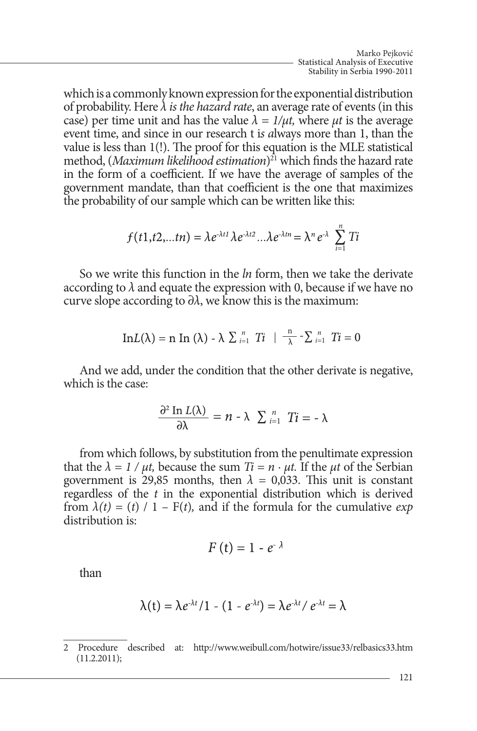which is a commonly known expression for the exponential distribution of probability. Here *λ is the hazard rate*, an average rate of events (in this case) per time unit and has the value  $\lambda = 1/\mu t$ , where  $\mu t$  is the average event time, and since in our research t i*s a*lways more than 1, than the value is less than 1(!). The proof for this equation is the MLE statistical method, (*Maximum likelihood estimation*) 21 which finds the hazard rate in the form of a coefficient. If we have the average of samples of the government mandate, than that coefficient is the one that maximizes the probability of our sample which can be written like this:

$$
f(t1,t2,...t n) = \lambda e^{\lambda t} \lambda e^{\lambda t 2} ... \lambda e^{\lambda t n} = \lambda^{n} e^{\lambda} \sum_{i=1}^{n} T i
$$

So we write this function in the *ln* form, then we take the derivate according to  $\lambda$  and equate the expression with 0, because if we have no curve slope according to  $\partial \lambda$ , we know this is the maximum:

$$
\mathrm{In}L(\lambda)=\mathrm{n} \ \mathrm{In} \ (\lambda)-\lambda \ \Sigma \ _{i=1}^{n} \ Ti \ \mid \ \frac{\mathrm{n}}{\lambda}-\Sigma \ _{i=1}^{n} \ Ti=0
$$

And we add, under the condition that the other derivate is negative, which is the case:

$$
\frac{\partial^2 \text{In } L(\lambda)}{\partial \lambda} = n - \lambda \sum_{i=1}^n T_i = -\lambda
$$

from which follows, by substitution from the penultimate expression that the  $\lambda = 1/\mu t$ , because the sum  $Ti = n \cdot \mu t$ . If the  $\mu t$  of the Serbian government is 29,85 months, then  $\lambda = 0.033$ . This unit is constant regardless of the *t* in the exponential distribution which is derived from  $\lambda(t) = (t) / 1 - F(t)$ , and if the formula for the cumulative *exp* distribution is:

$$
F(t) = 1 - e^{-\lambda}
$$

than

$$
\lambda(t) = \lambda e^{\lambda t} / 1 - (1 - e^{\lambda t}) = \lambda e^{\lambda t} / e^{\lambda t} = \lambda
$$

<sup>2</sup> Procedure described at: http://www.weibull.com/hotwire/issue33/relbasics33.htm (11.2.2011);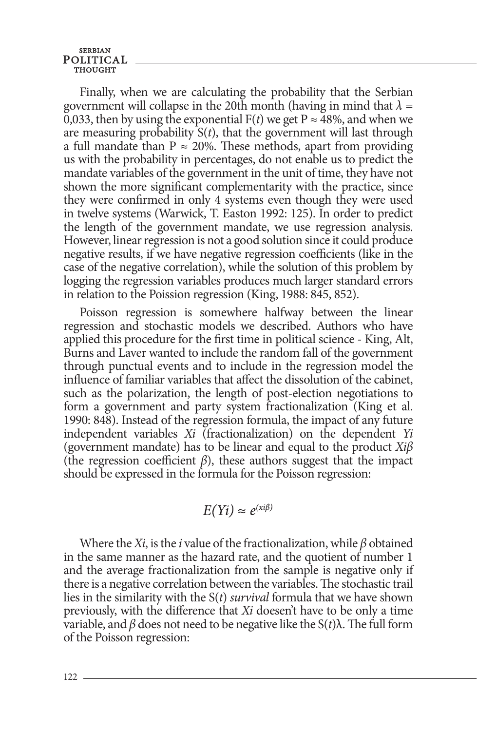Finally, when we are calculating the probability that the Serbian government will collapse in the 20th month (having in mind that  $\lambda =$ 0,033, then by using the exponential  $F(t)$  we get P  $\approx$  48%, and when we are measuring probability  $S(t)$ , that the government will last through a full mandate than  $P \approx 20\%$ . These methods, apart from providing us with the probability in percentages, do not enable us to predict the mandate variables of the government in the unit of time, they have not shown the more significant complementarity with the practice, since they were confirmed in only 4 systems even though they were used in twelve systems (Warwick, T. Easton 1992: 125). In order to predict the length of the government mandate, we use regression analysis. However, linear regression is not a good solution since it could produce negative results, if we have negative regression coefficients (like in the case of the negative correlation), while the solution of this problem by logging the regression variables produces much larger standard errors in relation to the Poission regression (King, 1988: 845, 852).

Poisson regression is somewhere halfway between the linear regression and stochastic models we described. Authors who have applied this procedure for the first time in political science - King, Alt, Burns and Laver wanted to include the random fall of the government through punctual events and to include in the regression model the influence of familiar variables that affect the dissolution of the cabinet, such as the polarization, the length of post-election negotiations to form a government and party system fractionalization (King et al. 1990: 848). Instead of the regression formula, the impact of any future independent variables *Xi* (fractionalization) on the dependent *Yi*  (government mandate) has to be linear and equal to the product *Xiβ*  (the regression coefficient  $\beta$ ), these authors suggest that the impact should be expressed in the formula for the Poisson regression:

$$
E(Yi) \approx e^{(xi\beta)}
$$

Where the *Xi*, is the *i* value of the fractionalization, while *β* obtained in the same manner as the hazard rate, and the quotient of number 1 and the average fractionalization from the sample is negative only if there is a negative correlation between the variables. The stochastic trail lies in the similarity with the S(*t*) *survival* formula that we have shown previously, with the difference that *Xi* doesen't have to be only a time variable, and *β* does not need to be negative like the S(*t*)λ. The full form of the Poisson regression: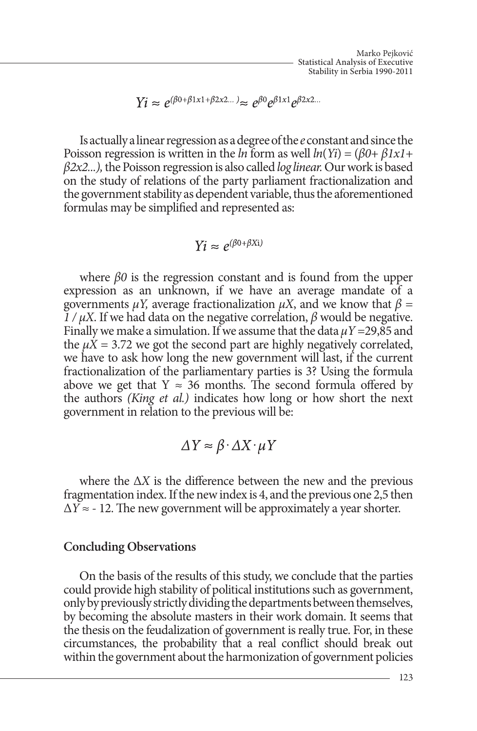$$
Yi \approx e^{(\beta 0 + \beta 1x1 + \beta 2x2...)} \approx e^{\beta 0} e^{\beta 1x1} e^{\beta 2x2...}
$$

Is actually a linear regression as a degree of the *e* constant and since the Poisson regression is written in the *ln* form as well *ln*(*Yi*) = (*β0+ β1x1+ β2x2...),* the Poisson regression is also called *log linear.* Our work is based on the study of relations of the party parliament fractionalization and the government stability as dependent variable, thus the aforementioned formulas may be simplified and represented as:

$$
Yi \approx e^{(\beta 0 + \beta Xi)}
$$

where *β0* is the regression constant and is found from the upper expression as an unknown, if we have an average mandate of a governments  $\mu$ *Y*, average fractionalization  $\mu$ *X*, and we know that  $\beta$  =  $\frac{1}{\mu}$  /  $\mu$ X. If we had data on the negative correlation,  $\beta$  would be negative. Finally we make a simulation. If we assume that the data  $\mu$ *Y* = 29,85 and the  $\mu X = 3.72$  we got the second part are highly negatively correlated, we have to ask how long the new government will last, if the current fractionalization of the parliamentary parties is 3? Using the formula above we get that  $Y \approx 36$  months. The second formula offered by the authors *(King et al.)* indicates how long or how short the next government in relation to the previous will be:

$$
\Delta Y \approx \beta \cdot \Delta X \cdot \mu Y
$$

where the  $\Delta X$  is the difference between the new and the previous fragmentation index. If the new index is 4, and the previous one 2,5 then  $\Delta Y \approx -12$ . The new government will be approximately a year shorter.

## **Concluding Observations**

On the basis of the results of this study, we conclude that the parties could provide high stability of political institutions such as government, only by previously strictly dividing the departments between themselves, by becoming the absolute masters in their work domain. It seems that the thesis on the feudalization of government is really true. For, in these circumstances, the probability that a real conflict should break out within the government about the harmonization of government policies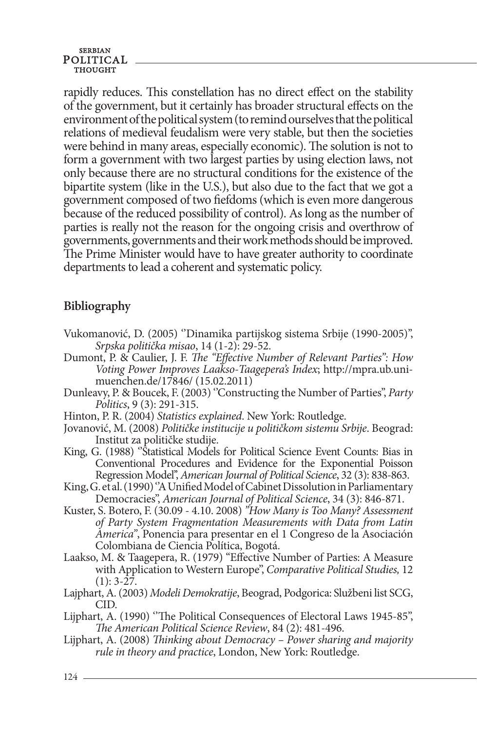rapidly reduces. This constellation has no direct effect on the stability of the government, but it certainly has broader structural effects on the environment of the political system (to remind ourselves that the political relations of medieval feudalism were very stable, but then the societies were behind in many areas, especially economic). The solution is not to form a government with two largest parties by using election laws, not only because there are no structural conditions for the existence of the bipartite system (like in the U.S.), but also due to the fact that we got a government composed of two fiefdoms (which is even more dangerous because of the reduced possibility of control). As long as the number of parties is really not the reason for the ongoing crisis and overthrow of governments, governments and their work methods should be improved. The Prime Minister would have to have greater authority to coordinate departments to lead a coherent and systematic policy.

# **Bibliography**

- Vukomanović, D. (2005) ''Dinamika partijskog sistema Srbije (1990-2005)'', *Srpska politička misao*, 14 (1-2): 29-52.
- Dumont, P. & Caulier, J. F. *The "Effective Number of Relevant Parties": How Voting Power Improves Laakso-Taagepera's Index*; http://mpra.ub.unimuenchen.de/17846/ (15.02.2011)
- Dunleavy, P. & Boucek, F. (2003) ''Constructing the Number of Parties'', *Party Politics*, 9 (3): 291-315.
- Hinton, P. R. (2004) *Statistics explained*. New York: Routledge.
- Јovanović, M. (2008) *Političke institucije u političkom sistemu Srbije*. Beograd: Institut za političke studije.
- King, G. (1988) ''Statistical Models for Political Science Event Counts: Bias in Conventional Procedures and Evidence for the Exponential Poisson Regression Model'', *American Journal of Political Science*, 32 (3): 838-863.
- King, G. et al. (1990) ''A Unified Model of Cabinet Dissolution in Parliamentary Democracies'', *American Journal of Political Science*, 34 (3): 846-871.
- Kuster, S. Botero, F. (30.09 4.10. 2008) *''How Many is Too Many? Assessment of Party System Fragmentation Measurements with Data from Latin America''*, Ponencia para presentar en el 1 Congreso de la Asociación Colombiana de Ciencia Política, Bogotá.
- Laakso, M. & Taagepera, R. (1979) "Effective Number of Parties: A Measure with Application to Western Europe", *Comparative Political Studies,* 12  $(1): 3-27.$
- Lajphart, А. (2003) *Modeli Demokratije*, Beograd, Podgorica: Službeni list SCG, CID.
- Lijphart, A. (1990) "The Political Consequences of Electoral Laws 1945-85", *The American Political Science Review*, 84 (2): 481-496.
- Lijphart, A. (2008) *Thinking about Democracy Power sharing and majority rule in theory and practice*, London, New York: Routledge.